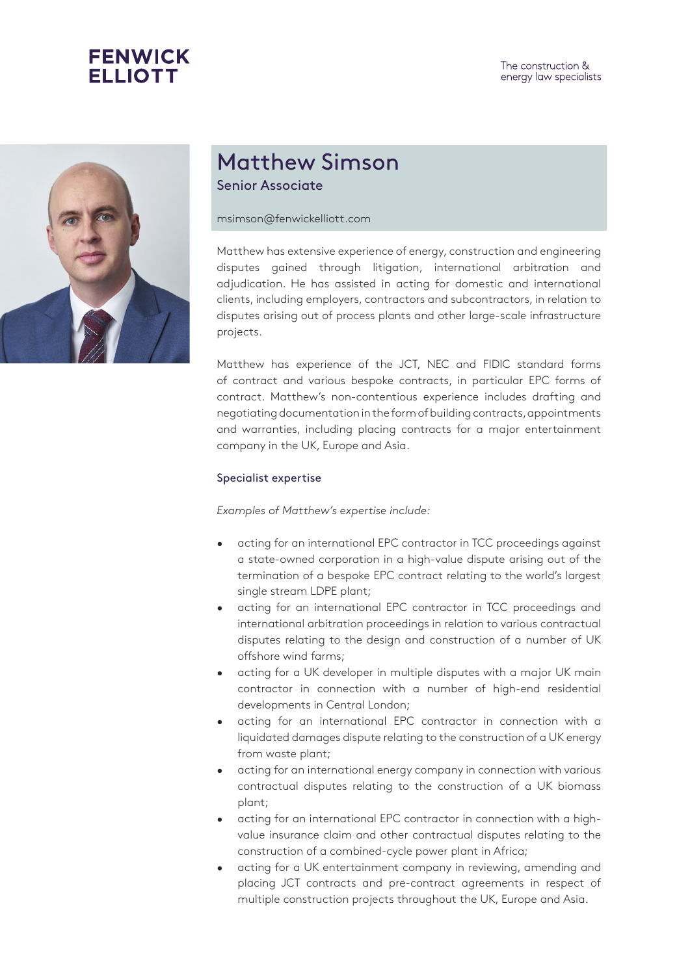



## Matthew Simson Senior Associate

msimson@fenwickelliott.com

Matthew has extensive experience of energy, construction and engineering disputes gained through litigation, international arbitration and adjudication. He has assisted in acting for domestic and international clients, including employers, contractors and subcontractors, in relation to disputes arising out of process plants and other large-scale infrastructure projects.

Matthew has experience of the JCT, NEC and FIDIC standard forms of contract and various bespoke contracts, in particular EPC forms of contract. Matthew's non-contentious experience includes drafting and negotiating documentation in the form of building contracts, appointments and warranties, including placing contracts for a major entertainment company in the UK, Europe and Asia.

## Specialist expertise

*Examples of Matthew's expertise include:*

- acting for an international EPC contractor in TCC proceedings against a state-owned corporation in a high-value dispute arising out of the termination of a bespoke EPC contract relating to the world's largest single stream LDPE plant;
- acting for an international EPC contractor in TCC proceedings and international arbitration proceedings in relation to various contractual disputes relating to the design and construction of a number of UK offshore wind farms;
- acting for a UK developer in multiple disputes with a major UK main contractor in connection with a number of high-end residential developments in Central London;
- acting for an international EPC contractor in connection with a liquidated damages dispute relating to the construction of a UK energy from waste plant;
- acting for an international energy company in connection with various contractual disputes relating to the construction of a UK biomass plant;
- acting for an international EPC contractor in connection with a highvalue insurance claim and other contractual disputes relating to the construction of a combined-cycle power plant in Africa;
- acting for a UK entertainment company in reviewing, amending and placing JCT contracts and pre-contract agreements in respect of multiple construction projects throughout the UK, Europe and Asia.